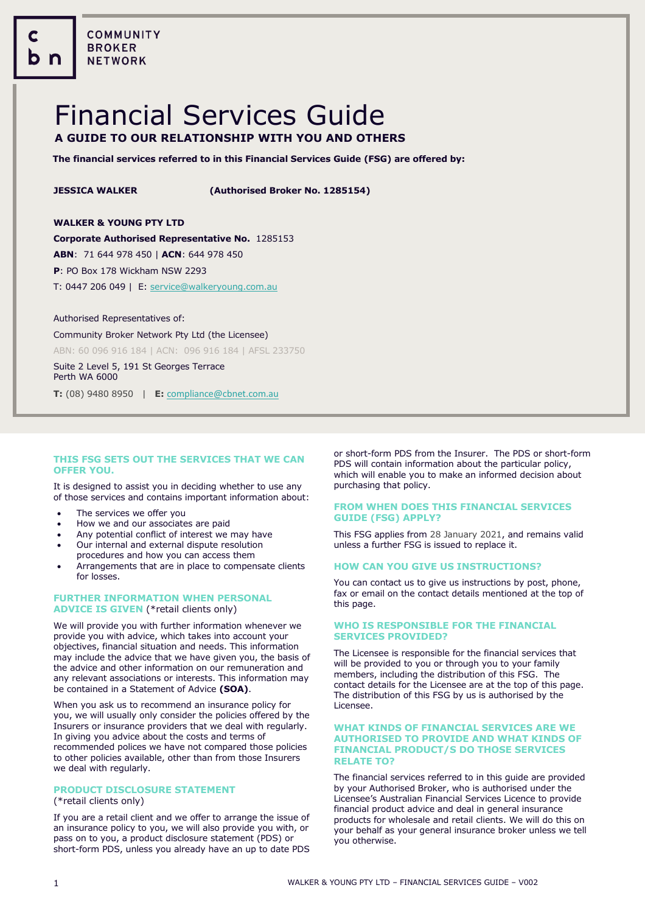**COMMUNITY BROKER NETWORK** 

# Financial Services Guide **A GUIDE TO OUR RELATIONSHIP WITH YOU AND OTHERS**

**The financial services referred to in this Financial Services Guide (FSG) are offered by:**

**JESSICA WALKER (Authorised Broker No. 1285154)**

# **WALKER & YOUNG PTY LTD**

**Corporate Authorised Representative No.** 1285153

**ABN**: 71 644 978 450 | **ACN**: 644 978 450

**P**: PO Box 178 Wickham NSW 2293

T: 0447 206 049 | E[: service@walkeryoung.com.au](mailto:service@walkeryoung.com.au)

#### Authorised Representatives of:

l

Community Broker Network Pty Ltd (the Licensee) ABN: 60 096 916 184 | ACN: 096 916 184 | AFSL 233750

Suite 2 Level 5, 191 St Georges Terrace Perth WA 6000

**T:** (08) 9480 8950 | **E:** [compliance@cbnet.com.au](mailto:queries@naswg.com.au) 

# **THIS FSG SETS OUT THE SERVICES THAT WE CAN OFFER YOU.**

It is designed to assist you in deciding whether to use any of those services and contains important information about:

- The services we offer you
- How we and our associates are paid
- Any potential conflict of interest we may have
- Our internal and external dispute resolution procedures and how you can access them
- Arrangements that are in place to compensate clients for losses.

# **FURTHER INFORMATION WHEN PERSONAL ADVICE IS GIVEN** (\*retail clients only)

We will provide you with further information whenever we provide you with advice, which takes into account your objectives, financial situation and needs. This information may include the advice that we have given you, the basis of the advice and other information on our remuneration and any relevant associations or interests. This information may be contained in a Statement of Advice **(SOA)**.

When you ask us to recommend an insurance policy for you, we will usually only consider the policies offered by the Insurers or insurance providers that we deal with regularly. In giving you advice about the costs and terms of recommended polices we have not compared those policies to other policies available, other than from those Insurers we deal with regularly.

# **PRODUCT DISCLOSURE STATEMENT**

# (\*retail clients only)

If you are a retail client and we offer to arrange the issue of an insurance policy to you, we will also provide you with, or pass on to you, a product disclosure statement (PDS) or short-form PDS, unless you already have an up to date PDS or short-form PDS from the Insurer. The PDS or short-form PDS will contain information about the particular policy, which will enable you to make an informed decision about purchasing that policy.

# **FROM WHEN DOES THIS FINANCIAL SERVICES GUIDE (FSG) APPLY?**

This FSG applies from 28 January 2021, and remains valid unless a further FSG is issued to replace it.

# **HOW CAN YOU GIVE US INSTRUCTIONS?**

You can contact us to give us instructions by post, phone, fax or email on the contact details mentioned at the top of this page.

### **WHO IS RESPONSIBLE FOR THE FINANCIAL SERVICES PROVIDED?**

The Licensee is responsible for the financial services that will be provided to you or through you to your family members, including the distribution of this FSG. The contact details for the Licensee are at the top of this page. The distribution of this FSG by us is authorised by the Licensee.

#### **WHAT KINDS OF FINANCIAL SERVICES ARE WE AUTHORISED TO PROVIDE AND WHAT KINDS OF FINANCIAL PRODUCT/S DO THOSE SERVICES RELATE TO?**

The financial services referred to in this guide are provided by your Authorised Broker, who is authorised under the Licensee's Australian Financial Services Licence to provide financial product advice and deal in general insurance products for wholesale and retail clients. We will do this on your behalf as your general insurance broker unless we tell you otherwise.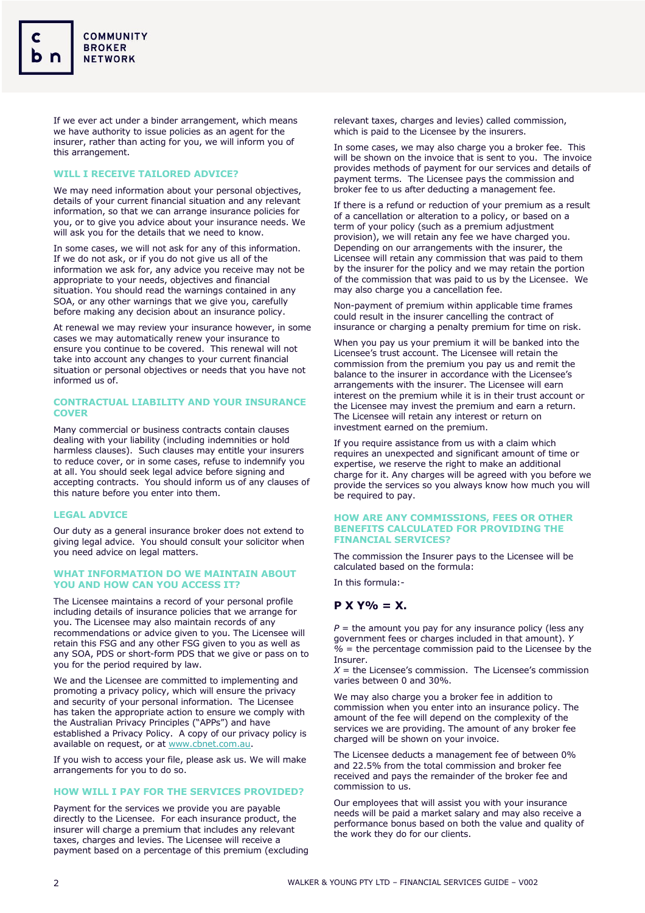If we ever act under a binder arrangement, which means we have authority to issue policies as an agent for the insurer, rather than acting for you, we will inform you of this arrangement.

# **WILL I RECEIVE TAILORED ADVICE?**

We may need information about your personal objectives, details of your current financial situation and any relevant information, so that we can arrange insurance policies for you, or to give you advice about your insurance needs. We will ask you for the details that we need to know.

In some cases, we will not ask for any of this information. If we do not ask, or if you do not give us all of the information we ask for, any advice you receive may not be appropriate to your needs, objectives and financial situation. You should read the warnings contained in any SOA, or any other warnings that we give you, carefully before making any decision about an insurance policy.

At renewal we may review your insurance however, in some cases we may automatically renew your insurance to ensure you continue to be covered. This renewal will not take into account any changes to your current financial situation or personal objectives or needs that you have not informed us of.

### **CONTRACTUAL LIABILITY AND YOUR INSURANCE COVER**

Many commercial or business contracts contain clauses dealing with your liability (including indemnities or hold harmless clauses). Such clauses may entitle your insurers to reduce cover, or in some cases, refuse to indemnify you at all. You should seek legal advice before signing and accepting contracts. You should inform us of any clauses of this nature before you enter into them.

# **LEGAL ADVICE**

Our duty as a general insurance broker does not extend to giving legal advice. You should consult your solicitor when you need advice on legal matters.

### **WHAT INFORMATION DO WE MAINTAIN ABOUT YOU AND HOW CAN YOU ACCESS IT?**

The Licensee maintains a record of your personal profile including details of insurance policies that we arrange for you. The Licensee may also maintain records of any recommendations or advice given to you. The Licensee will retain this FSG and any other FSG given to you as well as any SOA, PDS or short-form PDS that we give or pass on to you for the period required by law.

We and the Licensee are committed to implementing and promoting a privacy policy, which will ensure the privacy and security of your personal information. The Licensee has taken the appropriate action to ensure we comply with the Australian Privacy Principles ("APPs") and have established a Privacy Policy. A copy of our privacy policy is available on request, or at [www.cbnet.com.au.](http://www.cbnet.com.au/)

If you wish to access your file, please ask us. We will make arrangements for you to do so.

#### **HOW WILL I PAY FOR THE SERVICES PROVIDED?**

Payment for the services we provide you are payable directly to the Licensee. For each insurance product, the insurer will charge a premium that includes any relevant taxes, charges and levies. The Licensee will receive a payment based on a percentage of this premium (excluding

relevant taxes, charges and levies) called commission, which is paid to the Licensee by the insurers.

In some cases, we may also charge you a broker fee. This will be shown on the invoice that is sent to you. The invoice provides methods of payment for our services and details of payment terms. The Licensee pays the commission and broker fee to us after deducting a management fee.

If there is a refund or reduction of your premium as a result of a cancellation or alteration to a policy, or based on a term of your policy (such as a premium adjustment provision), we will retain any fee we have charged you. Depending on our arrangements with the insurer, the Licensee will retain any commission that was paid to them by the insurer for the policy and we may retain the portion of the commission that was paid to us by the Licensee. We may also charge you a cancellation fee.

Non-payment of premium within applicable time frames could result in the insurer cancelling the contract of insurance or charging a penalty premium for time on risk.

When you pay us your premium it will be banked into the Licensee's trust account. The Licensee will retain the commission from the premium you pay us and remit the balance to the insurer in accordance with the Licensee's arrangements with the insurer. The Licensee will earn interest on the premium while it is in their trust account or the Licensee may invest the premium and earn a return. The Licensee will retain any interest or return on investment earned on the premium.

If you require assistance from us with a claim which requires an unexpected and significant amount of time or expertise, we reserve the right to make an additional charge for it. Any charges will be agreed with you before we provide the services so you always know how much you will be required to pay.

#### **HOW ARE ANY COMMISSIONS, FEES OR OTHER BENEFITS CALCULATED FOR PROVIDING THE FINANCIAL SERVICES?**

The commission the Insurer pays to the Licensee will be calculated based on the formula:

In this formula:-

# **P X Y% = X.**

 $P =$  the amount you pay for any insurance policy (less any government fees or charges included in that amount). *Y %* = the percentage commission paid to the Licensee by the Insurer.

 $X =$  the Licensee's commission. The Licensee's commission varies between 0 and 30%.

We may also charge you a broker fee in addition to commission when you enter into an insurance policy. The amount of the fee will depend on the complexity of the services we are providing. The amount of any broker fee charged will be shown on your invoice.

The Licensee deducts a management fee of between 0% and 22.5% from the total commission and broker fee received and pays the remainder of the broker fee and commission to us.

Our employees that will assist you with your insurance needs will be paid a market salary and may also receive a performance bonus based on both the value and quality of the work they do for our clients.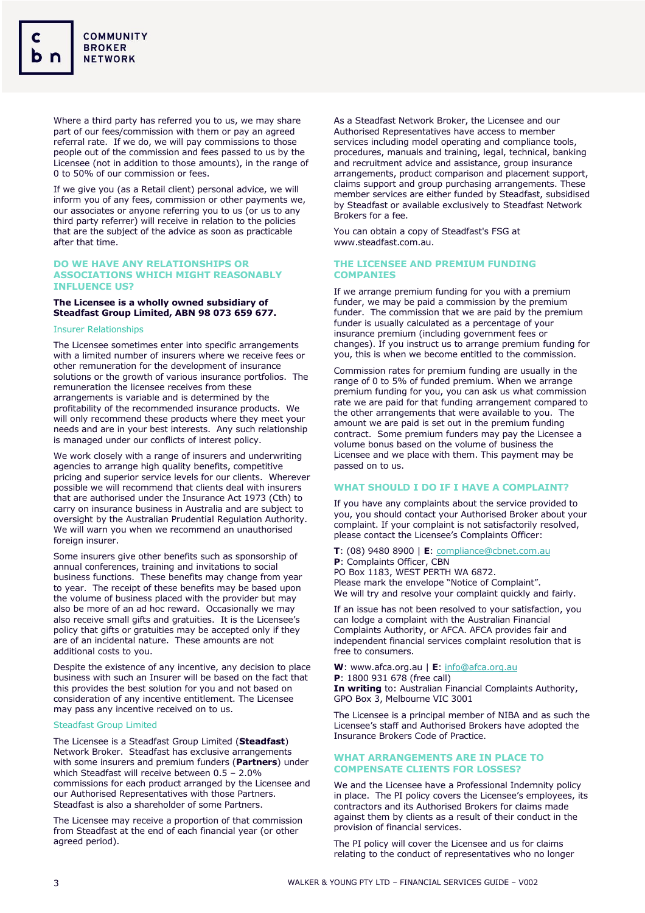Where a third party has referred you to us, we may share part of our fees/commission with them or pay an agreed referral rate. If we do, we will pay commissions to those people out of the commission and fees passed to us by the Licensee (not in addition to those amounts), in the range of 0 to 50% of our commission or fees.

If we give you (as a Retail client) personal advice, we will inform you of any fees, commission or other payments we, our associates or anyone referring you to us (or us to any third party referrer) will receive in relation to the policies that are the subject of the advice as soon as practicable after that time.

#### **DO WE HAVE ANY RELATIONSHIPS OR ASSOCIATIONS WHICH MIGHT REASONABLY INFLUENCE US?**

### **The Licensee is a wholly owned subsidiary of Steadfast Group Limited, ABN 98 073 659 677.**

### Insurer Relationships

The Licensee sometimes enter into specific arrangements with a limited number of insurers where we receive fees or other remuneration for the development of insurance solutions or the growth of various insurance portfolios. The remuneration the licensee receives from these arrangements is variable and is determined by the profitability of the recommended insurance products. We will only recommend these products where they meet your needs and are in your best interests. Any such relationship is managed under our conflicts of interest policy.

We work closely with a range of insurers and underwriting agencies to arrange high quality benefits, competitive pricing and superior service levels for our clients. Wherever possible we will recommend that clients deal with insurers that are authorised under the Insurance Act 1973 (Cth) to carry on insurance business in Australia and are subject to oversight by the Australian Prudential Regulation Authority. We will warn you when we recommend an unauthorised foreign insurer.

Some insurers give other benefits such as sponsorship of annual conferences, training and invitations to social business functions. These benefits may change from year to year. The receipt of these benefits may be based upon the volume of business placed with the provider but may also be more of an ad hoc reward. Occasionally we may also receive small gifts and gratuities. It is the Licensee's policy that gifts or gratuities may be accepted only if they are of an incidental nature. These amounts are not additional costs to you.

Despite the existence of any incentive, any decision to place business with such an Insurer will be based on the fact that this provides the best solution for you and not based on consideration of any incentive entitlement. The Licensee may pass any incentive received on to us.

#### Steadfast Group Limited

The Licensee is a Steadfast Group Limited (**Steadfast**) Network Broker. Steadfast has exclusive arrangements with some insurers and premium funders (**Partners**) under which Steadfast will receive between 0.5 – 2.0% commissions for each product arranged by the Licensee and our Authorised Representatives with those Partners. Steadfast is also a shareholder of some Partners.

The Licensee may receive a proportion of that commission from Steadfast at the end of each financial year (or other agreed period).

As a Steadfast Network Broker, the Licensee and our Authorised Representatives have access to member services including model operating and compliance tools, procedures, manuals and training, legal, technical, banking and recruitment advice and assistance, group insurance arrangements, product comparison and placement support, claims support and group purchasing arrangements. These member services are either funded by Steadfast, subsidised by Steadfast or available exclusively to Steadfast Network Brokers for a fee.

You can obtain a copy of Steadfast's FSG at www.steadfast.com.au.

### **THE LICENSEE AND PREMIUM FUNDING COMPANIES**

If we arrange premium funding for you with a premium funder, we may be paid a commission by the premium funder. The commission that we are paid by the premium funder is usually calculated as a percentage of your insurance premium (including government fees or changes). If you instruct us to arrange premium funding for you, this is when we become entitled to the commission.

Commission rates for premium funding are usually in the range of 0 to 5% of funded premium. When we arrange premium funding for you, you can ask us what commission rate we are paid for that funding arrangement compared to the other arrangements that were available to you. The amount we are paid is set out in the premium funding contract. Some premium funders may pay the Licensee a volume bonus based on the volume of business the Licensee and we place with them. This payment may be passed on to us.

#### **WHAT SHOULD I DO IF I HAVE A COMPLAINT?**

If you have any complaints about the service provided to you, you should contact your Authorised Broker about your complaint. If your complaint is not satisfactorily resolved, please contact the Licensee's Complaints Officer:

**T**: (08) 9480 8900 | **E**[: compliance@cbnet.com.au](mailto:compliance@cbnet.com.au?subject=Financial%20Services%20Guide) **P**: Complaints Officer, CBN PO Box 1183, WEST PERTH WA 6872. Please mark the envelope "Notice of Complaint". We will try and resolve your complaint quickly and fairly.

If an issue has not been resolved to your satisfaction, you can lodge a complaint with the Australian Financial Complaints Authority, or AFCA. AFCA provides fair and independent financial services complaint resolution that is free to consumers.

**W**: www.afca.org.au | **E**: [info@afca.org.au](mailto:info@afca.org.au) **P**: 1800 931 678 (free call) **In writing** to: Australian Financial Complaints Authority, GPO Box 3, Melbourne VIC 3001

The Licensee is a principal member of NIBA and as such the Licensee's staff and Authorised Brokers have adopted the Insurance Brokers Code of Practice.

## **WHAT ARRANGEMENTS ARE IN PLACE TO COMPENSATE CLIENTS FOR LOSSES?**

We and the Licensee have a Professional Indemnity policy in place. The PI policy covers the Licensee's employees, its contractors and its Authorised Brokers for claims made against them by clients as a result of their conduct in the provision of financial services.

The PI policy will cover the Licensee and us for claims relating to the conduct of representatives who no longer